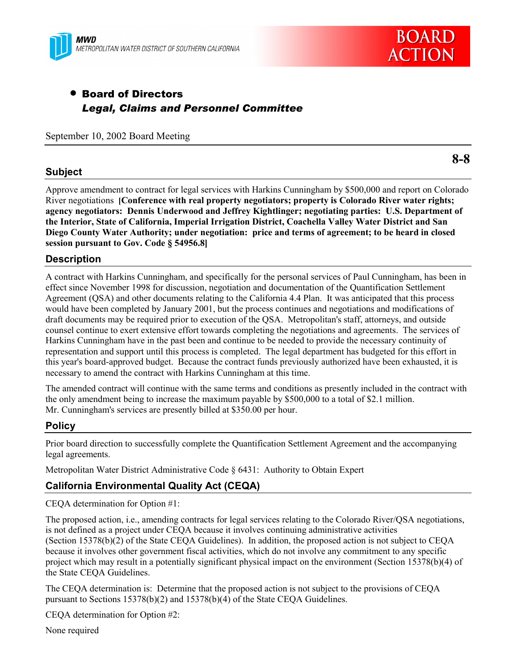



# • Board of Directors *Legal, Claims and Personnel Committee*

September 10, 2002 Board Meeting

#### **Subject**

**8-8**

Approve amendment to contract for legal services with Harkins Cunningham by \$500,000 and report on Colorado River negotiations **[Conference with real property negotiators; property is Colorado River water rights; agency negotiators: Dennis Underwood and Jeffrey Kightlinger; negotiating parties: U.S. Department of the Interior, State of California, Imperial Irrigation District, Coachella Valley Water District and San Diego County Water Authority; under negotiation: price and terms of agreement; to be heard in closed session pursuant to Gov. Code ß 54956.8]**

## **Description**

A contract with Harkins Cunningham, and specifically for the personal services of Paul Cunningham, has been in effect since November 1998 for discussion, negotiation and documentation of the Quantification Settlement Agreement (QSA) and other documents relating to the California 4.4 Plan. It was anticipated that this process would have been completed by January 2001, but the process continues and negotiations and modifications of draft documents may be required prior to execution of the QSA. Metropolitan's staff, attorneys, and outside counsel continue to exert extensive effort towards completing the negotiations and agreements. The services of Harkins Cunningham have in the past been and continue to be needed to provide the necessary continuity of representation and support until this process is completed. The legal department has budgeted for this effort in this year's board-approved budget. Because the contract funds previously authorized have been exhausted, it is necessary to amend the contract with Harkins Cunningham at this time.

The amended contract will continue with the same terms and conditions as presently included in the contract with the only amendment being to increase the maximum payable by \$500,000 to a total of \$2.1 million. Mr. Cunningham's services are presently billed at \$350.00 per hour.

# **Policy**

Prior board direction to successfully complete the Quantification Settlement Agreement and the accompanying legal agreements.

Metropolitan Water District Administrative Code ß 6431: Authority to Obtain Expert

# **California Environmental Quality Act (CEQA)**

CEQA determination for Option #1:

The proposed action, i.e., amending contracts for legal services relating to the Colorado River/QSA negotiations, is not defined as a project under CEQA because it involves continuing administrative activities (Section 15378(b)(2) of the State CEQA Guidelines). In addition, the proposed action is not subject to CEQA because it involves other government fiscal activities, which do not involve any commitment to any specific project which may result in a potentially significant physical impact on the environment (Section 15378(b)(4) of the State CEQA Guidelines.

The CEQA determination is: Determine that the proposed action is not subject to the provisions of CEQA pursuant to Sections 15378(b)(2) and 15378(b)(4) of the State CEQA Guidelines.

CEQA determination for Option #2:

None required